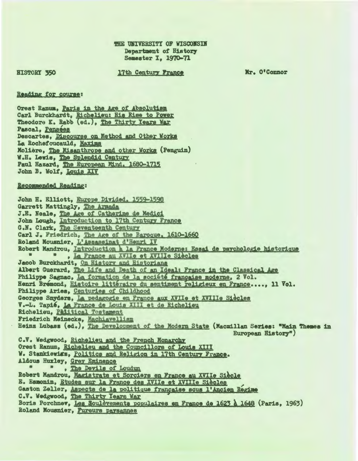**HISTORY 350** 

## 17th Century France

Mr. O'Connor

## Reading for course:

Orest Ranum, Paris in the Age of Absolutism Carl Burckhardt, Richelieu: His Rise to Power Theodore K. Rabb (ed.), The Thirty Years War Pascal, Pensees Descartes, Discourse on Method and Other Works La Rochefoucauld, Maxims Molière, The Misanthrope and other Works (Penguin) W.H. Lewis, The Splendid Century Paul Hazard, The European Mind. 1680-1715 John B. Wolf, Louis XIV

## Recommended Reading:

John H. Elliott, Europe Divided. 1559-1598 Garrett Mattingly, The Armada J.E. Neale, The Age of Catherine de Medici John Lough, Introduction to 17th Century France G.N. Clark, The Seventeenth Century Carl J. Friedrich, The Age of the Baroque, 1610-1660 Roland Mousnier, L'Assassinat d'Henri IV Robert Mandrou, Introduction à la France Moderne: Essai de psychologie historique  $\begin{array}{ccc} \bullet & \bullet & \bullet \end{array}$ , La France au XVIIe et XVIIIe Siècles Jacob Burckhardt, On History and Historians Albert Guerard, The Life and Death of an Ideal: France in the Classical Age Philippe Sagnac, La formation de la société francaise moderne, 2 Vol. Henri Bremond, Histoire littéraire du sentiment religieux en France...., 11 Vol. Philippe Aries, Centuries of Childhood Georges Snyders, La pedagogie en France aux XVIIe et XVIIIe Siècles V.-L. Tapié, La France de Louis XIII et de Richelieu Richelieu, Palitical Testament Friedrich Meinecke, Machiavellism Heinz Lubass (ed.), The Development of the Modern State (Macmillan Series: "Main Themes in European History") C.V. Wedgwood, Richelieu and the French Monarchy Orest Ranum, Richelieu and the Councillors of Louis XIII W. Stankiewiss, Politics and Religion in 17th Century France. Aldous Huxley, Grey Eminence  $\bullet$ . The Devils of Loudun Robert Mandrou, Magistrats et Sorciers en France au XVIIe Siècle E. Esmonin, Etudes sur la France des XVIIe et XVIIIe Siècles Gaston Zeller, Aspects de la politique française sous l'Ancien Regime C.V. Wedgwood, The Thirty Years War Boris Porchnev, Les Soulévements populaires en France de 1623 à 1648 (Paris, 1963) Roland Mousnier, Fureurs paysannes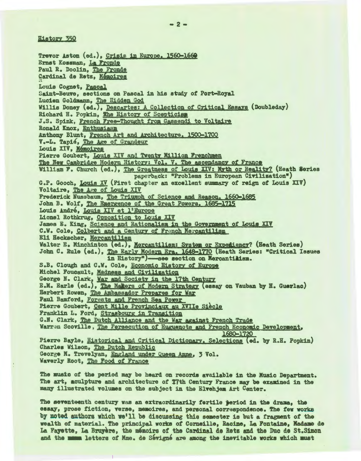**History 350** 

Trevor Aston (ed.), Crisis in Europe. 1560-1660 Ernst Kossman, La Fronde Paul R. Doolin. The Fronde Cardinal de Retz, Mémoires Louis Cognet, Pascal Saint-Beuve, sections on Pascal in his study of Port-Royal Lucien Goldmann, The Hidden God<br>Willis Doney (ed.), Descartes: A Collection of Critical Essays (Doubleday) Richard H. Popkin, The History of Scepticism J.S. Spink, French Free-Thought from Gassendi to Voltaire Ronald Knox, Enthusiasm Anthony Blunt, French Art and Architecture, 1500-1700 V.-L. Tapie, The Age of Grandeur Louis XIV, Mémoires Pierre Goubert, Louis XIV and Twenty Million Frenchmen The New Cambridge Modern History: Vol. V. The ascendancy of France William F. Church (ed.), The Greatness of Louis XIV: Myth or Reality? (Heath Series paperback: "Problems in European Civilization") G.P. Gooch, Louis XV (First chapter an excellent summary of reign of Louis XIV) Voltaire, The Age of Louis XIV Frederick Nussbaum, The Triumph of Science and Reason, 1660-1685 John B. Wolf, The Emergence of the Great Powers, 1685-1715 Louis André, Louis XIV et l'Europe Lionel Rothkrug, Opposition to Louis XIV James E. King, Science and Rationalism in the Government of Louis XIV C.W. Cole, Colbert and a Century of French Mercantilism Eli Heckscher, Mercantilism Walter E. Minchinton (ed.), Mercantilism: System or Expediency? (Heath Series) John C. Rule (ed.), The Early Modern Era. 1648-1770 (Heath Series: "Critical Issues in History")-see section on Mercantilism. S.B. Clough and C.W. Cole, Economic History of Europe Michel Foucault, Madness and Civilization George N. Clark, War and Society in the 17th Century E.M. Earle (ed.), The Makers of Modern Strategy (essay on Vauban by H. Guerlac) Herbert Rowen, The Ambassador Prepares for War Paul Bamford, Forests and French Sea Power Pierre Goubert, Cent Mille Provinciaux au XVIIe Siècle Franklin L. Ford, Strasbourg in Transition G.N. Clark, The Dutch Alliance and the War against French Trade Warren Scoville, The Persecution of Huguenots and French Economic Development, 1680-1720 Pierre Bayle, Historical and Critical Dictionary. Selections (ed. by R.H. Popkin) Charles Wilson, The Dutch Republic George M. Trevelyan, England under Queen Anne. 3 Vol. Waverly Root, The Food of France

The music of the period may be heard on records available in the Music Department. The art, aculpture and architecture of T7th Century France may be examined in the many illustrated volumes on the subject in the Elvehjem Art Center.

The seventeenth century was an extraordinarily fertile period in the drama. the essay, prose fiction, verse, memoires, and personal correspondence. The few works by noted authors which we'll be discussing this semester is but a fragment of the wealth of material. The principal works of Corneille. Racine. La Fontaine. Madame de La Fayette, La Bruyère, the mémoirs of the Cardinal de Retz and the Duc de St. Simon and the mann letters of Mme. de Sévigné are among the inevitable works which must